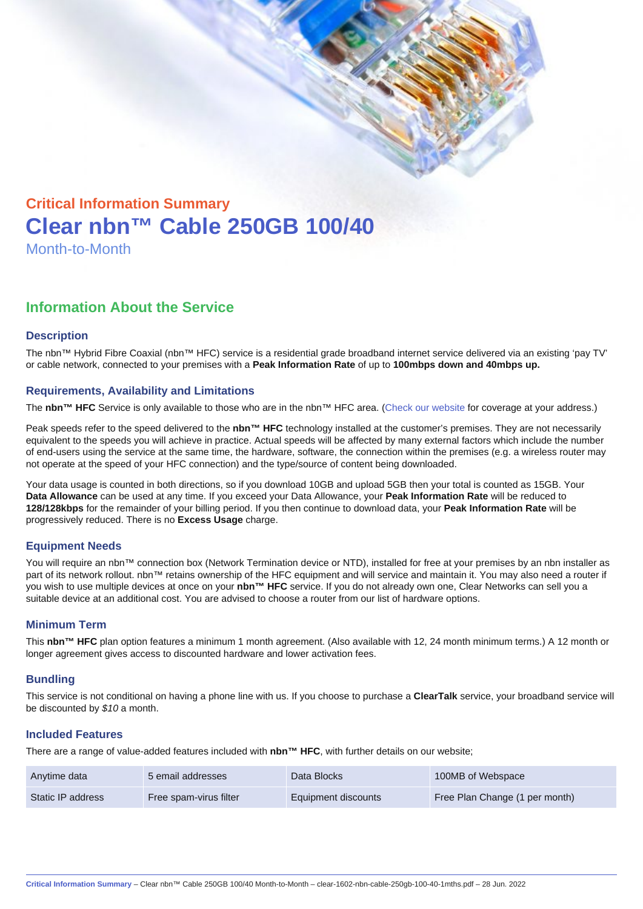# Critical Information Summary Clear nbn™ Cable 250GB 100/40 Month-to-Month

## Information About the Service

#### **Description**

The nbn™ Hybrid Fibre Coaxial (nbn™ HFC) service is a residential grade broadband internet service delivered via an existing 'pay TV' or cable network, connected to your premises with a Peak Information Rate of up to 100mbps down and 40mbps up.

#### Requirements, Availability and Limitations

The nbn™ HFC Service is only available to those who are in the nbn™ HFC area. ([Check our website](https://www.clear.com.au/residential/nbn-fixed/) for coverage at your address.)

Peak speeds refer to the speed delivered to the nbn™ HFC technology installed at the customer's premises. They are not necessarily equivalent to the speeds you will achieve in practice. Actual speeds will be affected by many external factors which include the number of end-users using the service at the same time, the hardware, software, the connection within the premises (e.g. a wireless router may not operate at the speed of your HFC connection) and the type/source of content being downloaded.

Your data usage is counted in both directions, so if you download 10GB and upload 5GB then your total is counted as 15GB. Your Data Allowance can be used at any time. If you exceed your Data Allowance, your Peak Information Rate will be reduced to 128/128kbps for the remainder of your billing period. If you then continue to download data, your Peak Information Rate will be progressively reduced. There is no Excess Usage charge.

#### Equipment Needs

You will require an nbn™ connection box (Network Termination device or NTD), installed for free at your premises by an nbn installer as part of its network rollout. nbn™ retains ownership of the HFC equipment and will service and maintain it. You may also need a router if you wish to use multiple devices at once on your nbn™ HFC service. If you do not already own one, Clear Networks can sell you a suitable device at an additional cost. You are advised to choose a router from our list of hardware options.

#### Minimum Term

This nbn™ HFC plan option features a minimum 1 month agreement. (Also available with 12, 24 month minimum terms.) A 12 month or longer agreement gives access to discounted hardware and lower activation fees.

#### **Bundling**

This service is not conditional on having a phone line with us. If you choose to purchase a ClearTalk service, your broadband service will be discounted by \$10 a month.

#### Included Features

There are a range of value-added features included with nbn™ HFC , with further details on our website;

| Anytime data      | 5 email addresses      | Data Blocks         | 100MB of Webspace              |
|-------------------|------------------------|---------------------|--------------------------------|
| Static IP address | Free spam-virus filter | Equipment discounts | Free Plan Change (1 per month) |